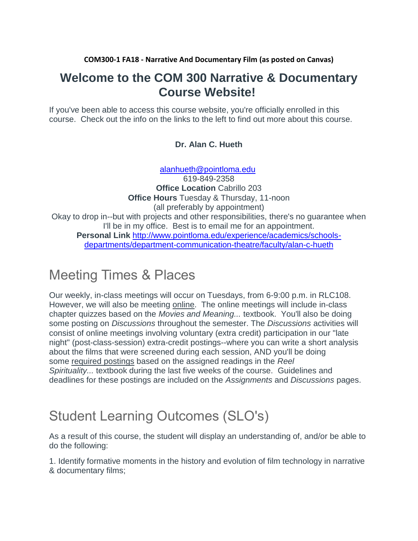**COM300-1 FA18 - Narrative And Documentary Film (as posted on Canvas)**

## **Welcome to the COM 300 Narrative & Documentary Course Website!**

If you've been able to access this course website, you're officially enrolled in this course. Check out the info on the links to the left to find out more about this course.

## **Dr. Alan C. Hueth**

[alanhueth@pointloma.edu](mailto:alanhueth@pointloma.edu) 619-849-2358 **Office Location** Cabrillo 203 **Office Hours** Tuesday & Thursday, 11-noon (all preferably by appointment) Okay to drop in--but with projects and other responsibilities, there's no guarantee when I'll be in my office. Best is to email me for an appointment. **Personal Link** [http://www.pointloma.edu/experience/academics/schools](http://www.pointloma.edu/experience/academics/schools-departments/department-communication-theatre/faculty/alan-c-hueth)[departments/department-communication-theatre/faculty/alan-c-hueth](http://www.pointloma.edu/experience/academics/schools-departments/department-communication-theatre/faculty/alan-c-hueth)

## Meeting Times & Places

Our weekly, in-class meetings will occur on Tuesdays, from 6-9:00 p.m. in RLC108. However, we will also be meeting online. The online meetings will include in-class chapter quizzes based on the *Movies and Meaning...* textbook. You'll also be doing some posting on *Discussions* throughout the semester. The *Discussions* activities will consist of online meetings involving voluntary (extra credit) participation in our "late night" (post-class-session) extra-credit postings--where you can write a short analysis about the films that were screened during each session, AND you'll be doing some required postings based on the assigned readings in the *Reel Spirituality...* textbook during the last five weeks of the course. Guidelines and deadlines for these postings are included on the *Assignments* and *Discussions* pages.

## Student Learning Outcomes (SLO's)

As a result of this course, the student will display an understanding of, and/or be able to do the following:

1. Identify formative moments in the history and evolution of film technology in narrative & documentary films;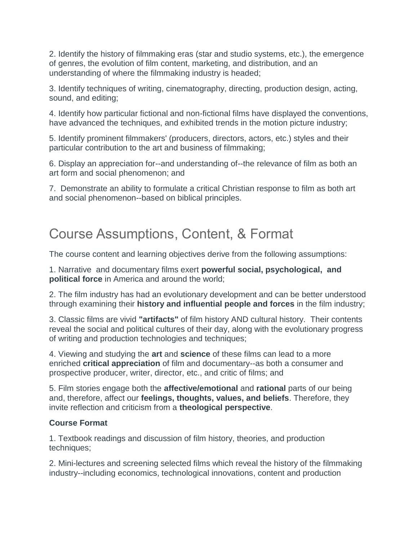2. Identify the history of filmmaking eras (star and studio systems, etc.), the emergence of genres, the evolution of film content, marketing, and distribution, and an understanding of where the filmmaking industry is headed;

3. Identify techniques of writing, cinematography, directing, production design, acting, sound, and editing;

4. Identify how particular fictional and non-fictional films have displayed the conventions, have advanced the techniques, and exhibited trends in the motion picture industry;

5. Identify prominent filmmakers' (producers, directors, actors, etc.) styles and their particular contribution to the art and business of filmmaking;

6. Display an appreciation for--and understanding of--the relevance of film as both an art form and social phenomenon; and

7. Demonstrate an ability to formulate a critical Christian response to film as both art and social phenomenon--based on biblical principles.

## Course Assumptions, Content, & Format

The course content and learning objectives derive from the following assumptions:

1. Narrative and documentary films exert **powerful social, psychological, and political force** in America and around the world;

2. The film industry has had an evolutionary development and can be better understood through examining their **history and influential people and forces** in the film industry;

3. Classic films are vivid **"artifacts"** of film history AND cultural history. Their contents reveal the social and political cultures of their day, along with the evolutionary progress of writing and production technologies and techniques;

4. Viewing and studying the **art** and **science** of these films can lead to a more enriched **critical appreciation** of film and documentary--as both a consumer and prospective producer, writer, director, etc., and critic of films; and

5. Film stories engage both the **affective/emotional** and **rational** parts of our being and, therefore, affect our **feelings, thoughts, values, and beliefs**. Therefore, they invite reflection and criticism from a **theological perspective**.

## **Course Format**

1. Textbook readings and discussion of film history, theories, and production techniques;

2. Mini-lectures and screening selected films which reveal the history of the filmmaking industry--including economics, technological innovations, content and production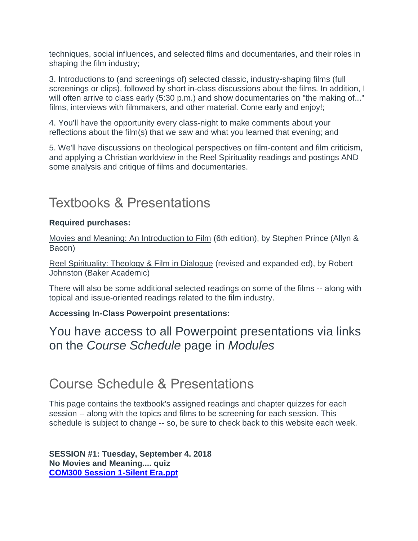techniques, social influences, and selected films and documentaries, and their roles in shaping the film industry;

3. Introductions to (and screenings of) selected classic, industry-shaping films (full screenings or clips), followed by short in-class discussions about the films. In addition, I will often arrive to class early (5:30 p.m.) and show documentaries on "the making of..." films, interviews with filmmakers, and other material. Come early and enjoy!;

4. You'll have the opportunity every class-night to make comments about your reflections about the film(s) that we saw and what you learned that evening; and

5. We'll have discussions on theological perspectives on film-content and film criticism, and applying a Christian worldview in the Reel Spirituality readings and postings AND some analysis and critique of films and documentaries.

## Textbooks & Presentations

## **Required purchases:**

Movies and Meaning: An Introduction to Film (6th edition), by Stephen Prince (Allyn & Bacon)

Reel Spirituality: Theology & Film in Dialogue (revised and expanded ed), by Robert Johnston (Baker Academic)

There will also be some additional selected readings on some of the films -- along with topical and issue-oriented readings related to the film industry.

#### **Accessing In-Class Powerpoint presentations:**

You have access to all Powerpoint presentations via links on the *Course Schedule* page in *Modules*

## Course Schedule & Presentations

This page contains the textbook's assigned readings and chapter quizzes for each session -- along with the topics and films to be screening for each session. This schedule is subject to change -- so, be sure to check back to this website each week.

**SESSION #1: Tuesday, September 4. 2018 No Movies and Meaning.... quiz [COM300 Session 1-Silent Era.ppt](https://canvas.pointloma.edu/courses/39796/files/1916972/download)**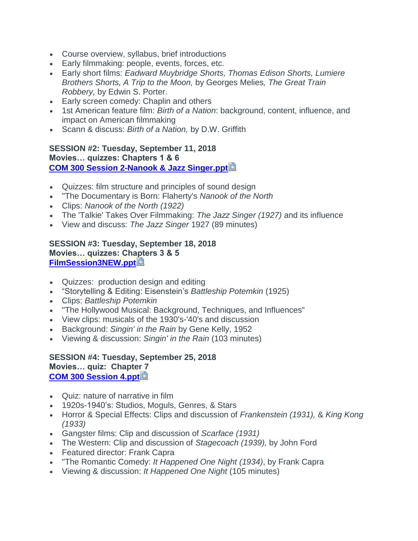- Course overview, syllabus, brief introductions
- Early filmmaking: people, events, forces, etc.
- Early short films: *Eadward Muybridge Shorts, Thomas Edison Shorts, Lumiere Brothers Shorts, A Trip to the Moon,* by Georges Melies*, The Great Train Robbery,* by Edwin S. Porter.
- Early screen comedy: Chaplin and others
- 1st American feature film: *Birth of a Nation*: background, content, influence, and impact on American filmmaking
- Scann & discuss: *Birth of a Nation,* by D.W. Griffith

#### **SESSION #2: Tuesday, September 11, 2018 Movies… quizzes: Chapters 1 & 6 [COM 300 Session 2-Nanook & Jazz Singer.ppt](https://canvas.pointloma.edu/courses/39796/files/1917000/download?wrap=1)**

- Quizzes: film structure and principles of sound design
- "The Documentary is Born: Flaherty's *Nanook of the North*
- Clips: *Nanook of the North (1922)*
- The 'Talkie' Takes Over Filmmaking: *The Jazz Singer (1927)* and its influence
- View and discuss: *The Jazz Singer* 1927 (89 minutes)

#### **SESSION #3: Tuesday, September 18, 2018 Movies… quizzes: Chapters 3 & 5 [FilmSession3NEW.ppt](https://canvas.pointloma.edu/courses/39796/files/2114753/download?wrap=1)**

- Quizzes: production design and editing
- "Storytelling & Editing: Eisenstein's *Battleship Potemkin* (1925)
- Clips: *Battleship Potemkin*
- "The Hollywood Musical: Background, Techniques, and Influences"
- View clips: musicals of the 1930's-'40's and discussion
- Background: *Singin' in the Rain* by Gene Kelly, 1952
- Viewing & discussion: *Singin' in the Rain* (103 minutes)

**SESSION #4: Tuesday, September 25, 2018 Movies… quiz: Chapter 7 [COM 300 Session 4.ppt](https://canvas.pointloma.edu/courses/39796/files/1916965/download?wrap=1)**

- Quiz: nature of narrative in film
- 1920s-1940's: Studios, Moguls, Genres, & Stars
- Horror & Special Effects: Clips and discussion of *Frankenstein (1931),* & *King Kong (1933)*
- Gangster films: Clip and discussion of *Scarface (1931)*
- The Western: Clip and discussion of *Stagecoach (1939),* by John Ford
- Featured director: Frank Capra
- "The Romantic Comedy: *It Happened One Night (1934)*, by Frank Capra
- Viewing & discussion: *It Happened One Night* (105 minutes)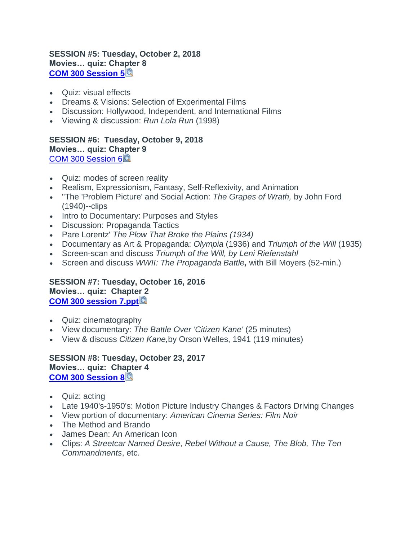#### **SESSION #5: Tuesday, October 2, 2018 Movies… quiz: Chapter 8 [COM 300 Session 5](https://canvas.pointloma.edu/courses/39796/files/1917001/download?wrap=1)**

- Quiz: visual effects
- Dreams & Visions: Selection of Experimental Films
- Discussion: Hollywood, Independent, and International Films
- Viewing & discussion: *Run Lola Run* (1998)

**SESSION #6: Tuesday, October 9, 2018 Movies… quiz: Chapter 9** [COM 300 Session 6](https://canvas.pointloma.edu/courses/39796/files/1917003/download?wrap=1)

- Quiz: modes of screen reality
- Realism, Expressionism, Fantasy, Self-Reflexivity, and Animation
- "The 'Problem Picture' and Social Action: *The Grapes of Wrath,* by John Ford (1940)--clips
- Intro to Documentary: Purposes and Styles
- Discussion: Propaganda Tactics
- Pare Lorentz' *The Plow That Broke the Plains (1934)*
- Documentary as Art & Propaganda: *Olympia* (1936) and *Triumph of the Will* (1935)
- Screen-scan and discuss *Triumph of the Will, by Leni Riefenstahl*
- Screen and discuss *WWII: The Propaganda Battle,* with Bill Moyers (52-min.)

**SESSION #7: Tuesday, October 16, 2016 Movies… quiz: Chapter 2 [COM 300 session 7.ppt](https://canvas.pointloma.edu/courses/39796/files/1916943/download?wrap=1)**

- Quiz: cinematography
- View documentary: *The Battle Over 'Citizen Kane'* (25 minutes)
- View & discuss *Citizen Kane,*by Orson Welles, 1941 (119 minutes)

**SESSION #8: Tuesday, October 23, 2017 Movies… quiz: Chapter 4 [COM 300 Session 8](https://canvas.pointloma.edu/courses/39796/files/1917004/download?wrap=1)**

- Quiz: acting
- Late 1940's-1950's: Motion Picture Industry Changes & Factors Driving Changes
- View portion of documentary: *American Cinema Series: Film Noir*
- The Method and Brando
- James Dean: An American Icon
- Clips: *A Streetcar Named Desire*, *Rebel Without a Cause, The Blob, The Ten Commandments*, etc.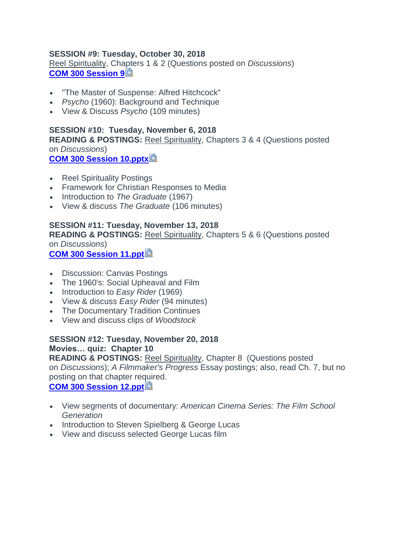#### **SESSION #9: Tuesday, October 30, 2018**

Reel Spirituality, Chapters 1 & 2 (Questions posted on *Discussions*) **[COM 300 Session 9](https://canvas.pointloma.edu/courses/39796/files/1917005/download?wrap=1)**

- "The Master of Suspense: Alfred Hitchcock"
- *Psycho* (1960): Background and Technique
- View & Discuss *Psycho* (109 minutes)

#### **SESSION #10: Tuesday, November 6, 2018 READING & POSTINGS:** Reel Spirituality, Chapters 3 & 4 (Questions posted on *Discussions*) **[COM 300 Session 10.pptx](https://canvas.pointloma.edu/courses/39796/files/1916954/download?wrap=1)**

- Reel Spirituality Postings
- Framework for Christian Responses to Media
- Introduction to *The Graduate* (1967)
- View & discuss *The Graduate* (106 minutes)

## **SESSION #11: Tuesday, November 13, 2018**

**READING & POSTINGS:** Reel Spirituality, Chapters 5 & 6 (Questions posted on *Discussions*)

**[COM 300 Session 11.ppt](https://canvas.pointloma.edu/courses/39796/files/1916955/download?wrap=1)**

- Discussion: Canvas Postings
- The 1960's: Social Upheaval and Film
- Introduction to *Easy Rider* (1969)
- View & discuss *Easy Rider* (94 minutes)
- The Documentary Tradition Continues
- View and discuss clips of *Woodstock*

### **SESSION #12: Tuesday, November 20, 2018 Movies… quiz: Chapter 10**

**READING & POSTINGS:** Reel Spirituality, Chapter 8 (Questions posted on *Discussions*); *A Filmmaker's Progress* Essay postings; also, read Ch. 7, but no posting on that chapter required.

**[COM 300 Session 12.ppt](https://canvas.pointloma.edu/courses/39796/files/1917002/download?wrap=1)** 

- View segments of documentary: *American Cinema Series: The Film School Generation*
- Introduction to Steven Spielberg & George Lucas
- View and discuss selected George Lucas film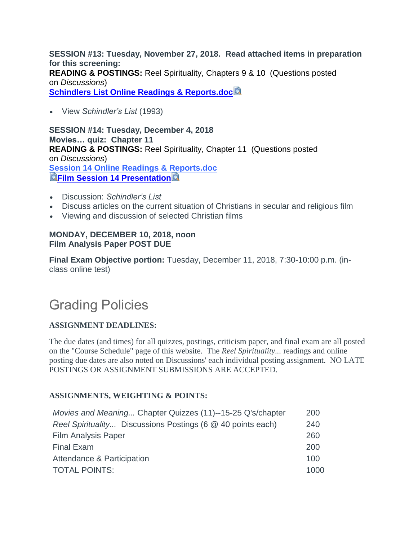**SESSION #13: Tuesday, November 27, 2018. Read attached items in preparation for this screening: READING & POSTINGS:** Reel Spirituality, Chapters 9 & 10 (Questions posted on *Discussions*[\)](http://canvas.pointloma.edu/) **[Schindlers List Online Readings & Reports.doc](https://canvas.pointloma.edu/courses/39796/files/2078678/download?wrap=1)**

• View *Schindler's List* (1993)

**SESSION #14: Tuesday, December 4, 2018 Movies… quiz: Chapter 11 READING & POSTINGS:** Reel Spirituality, Chapter 11 (Questions posted on *Discussions*) **[Session 14 Online Readings & Reports.doc](https://canvas.pointloma.edu/courses/39796/files/2078679/download?wrap=1) EFILM Session 14 Presentation** 

- Discussion: *Schindler's List*
- Discuss articles on the current situation of Christians in secular and religious film
- Viewing and discussion of selected Christian films

### **MONDAY, DECEMBER 10, 2018, noon Film Analysis Paper POST DUE**

**Final Exam Objective portion:** Tuesday, December 11, 2018, 7:30-10:00 p.m. (inclass online test)

# Grading Policies

## **ASSIGNMENT DEADLINES:**

The due dates (and times) for all quizzes, postings, criticism paper, and final exam are all posted on the "Course Schedule" page of this website. The *Reel Spirituality...* readings and online posting due dates are also noted on Discussions' each individual posting assignment. NO LATE POSTINGS OR ASSIGNMENT SUBMISSIONS ARE ACCEPTED.

## **ASSIGNMENTS, WEIGHTING & POINTS:**

| Movies and Meaning Chapter Quizzes (11)--15-25 Q's/chapter  | 200  |
|-------------------------------------------------------------|------|
| Reel Spirituality Discussions Postings (6 @ 40 points each) | 240  |
| <b>Film Analysis Paper</b>                                  | 260  |
| <b>Final Exam</b>                                           | 200  |
| Attendance & Participation                                  | 100  |
| <b>TOTAL POINTS:</b>                                        | 1000 |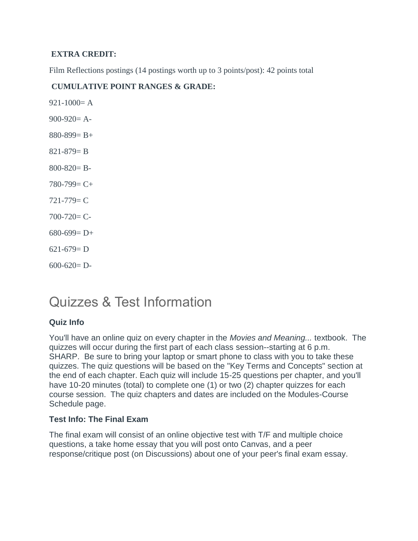### **EXTRA CREDIT:**

Film Reflections postings (14 postings worth up to 3 points/post): 42 points total

### **CUMULATIVE POINT RANGES & GRADE:**

 $921-1000=$  A  $900-920=$  A- $880-899= B+$  $821 - 879 = B$  $800 - 820 = B$  $780-799= C+$  $721 - 779 = C$  $700 - 720 = C$  $680-699= D+$  $621-679= D$  $600 - 620 = D$ 

## Quizzes & Test Information

## **Quiz Info**

You'll have an online quiz on every chapter in the *Movies and Meaning...* textbook. The quizzes will occur during the first part of each class session--starting at 6 p.m. SHARP. Be sure to bring your laptop or smart phone to class with you to take these quizzes. The quiz questions will be based on the "Key Terms and Concepts" section at the end of each chapter. Each quiz will include 15-25 questions per chapter, and you'll have 10-20 minutes (total) to complete one (1) or two (2) chapter quizzes for each course session. The quiz chapters and dates are included on the Modules-Course Schedule page.

## **Test Info: The Final Exam**

The final exam will consist of an online objective test with T/F and multiple choice questions, a take home essay that you will post onto Canvas, and a peer response/critique post (on Discussions) about one of your peer's final exam essay.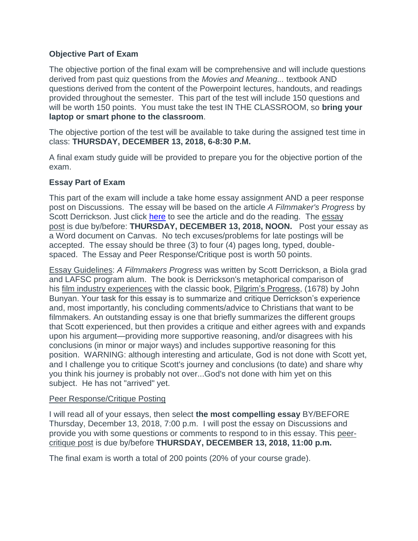#### **Objective Part of Exam**

The objective portion of the final exam will be comprehensive and will include questions derived from past quiz questions from the *Movies and Meaning...* textbook AND questions derived from the content of the Powerpoint lectures, handouts, and readings provided throughout the semester. This part of the test will include 150 questions and will be worth 150 points. You must take the test IN THE CLASSROOM, so **bring your laptop or smart phone to the classroom**.

The objective portion of the test will be available to take during the assigned test time in class: **THURSDAY, DECEMBER 13, 2018, 6-8:30 P.M.**

A final exam study guide will be provided to prepare you for the objective portion of the exam.

#### **Essay Part of Exam**

This part of the exam will include a take home essay assignment AND a peer response post on Discussions. The essay will be based on the article *A Filmmaker's Progress* by Scott Derrickson. Just click here to see the article and do the reading. The essay post is due by/before: **THURSDAY, DECEMBER 13, 2018, NOON.** Post your essay as a Word document on Canvas. No tech excuses/problems for late postings will be accepted. The essay should be three (3) to four (4) pages long, typed, doublespaced. The Essay and Peer Response/Critique post is worth 50 points.

Essay Guidelines: *A Filmmakers Progress* was written by Scott Derrickson, a Biola grad and LAFSC program alum. The book is Derrickson's metaphorical comparison of his film industry experiences with the classic book, Pilgrim's Progress, (1678) by John Bunyan. Your task for this essay is to summarize and critique Derrickson's experience and, most importantly, his concluding comments/advice to Christians that want to be filmmakers. An outstanding essay is one that briefly summarizes the different groups that Scott experienced, but then provides a critique and either agrees with and expands upon his argument—providing more supportive reasoning, and/or disagrees with his conclusions (in minor or major ways) and includes supportive reasoning for this position. WARNING: although interesting and articulate, God is not done with Scott yet, and I challenge you to critique Scott's journey and conclusions (to date) and share why you think his journey is probably not over...God's not done with him yet on this subject. He has not "arrived" yet.

#### Peer Response/Critique Posting

I will read all of your essays, then select **the most compelling essay** BY/BEFORE Thursday, December 13, 2018, 7:00 p.m. I will post the essay on Discussions and provide you with some questions or comments to respond to in this essay. This peercritique post is due by/before **THURSDAY, DECEMBER 13, 2018, 11:00 p.m.**

The final exam is worth a total of 200 points (20% of your course grade).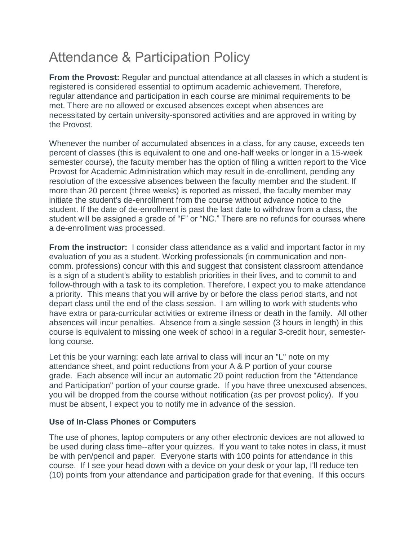# Attendance & Participation Policy

**From the Provost:** Regular and punctual attendance at all classes in which a student is registered is considered essential to optimum academic achievement. Therefore, regular attendance and participation in each course are minimal requirements to be met. There are no allowed or excused absences except when absences are necessitated by certain university-sponsored activities and are approved in writing by the Provost.

Whenever the number of accumulated absences in a class, for any cause, exceeds ten percent of classes (this is equivalent to one and one-half weeks or longer in a 15-week semester course), the faculty member has the option of filing a written report to the Vice Provost for Academic Administration which may result in de-enrollment, pending any resolution of the excessive absences between the faculty member and the student. If more than 20 percent (three weeks) is reported as missed, the faculty member may initiate the student's de-enrollment from the course without advance notice to the student. If the date of de-enrollment is past the last date to withdraw from a class, the student will be assigned a grade of "F" or "NC." There are no refunds for courses where a de-enrollment was processed.

**From the instructor:** I consider class attendance as a valid and important factor in my evaluation of you as a student. Working professionals (in communication and noncomm. professions) concur with this and suggest that consistent classroom attendance is a sign of a student's ability to establish priorities in their lives, and to commit to and follow-through with a task to its completion. Therefore, I expect you to make attendance a priority. This means that you will arrive by or before the class period starts, and not depart class until the end of the class session. I am willing to work with students who have extra or para-curricular activities or extreme illness or death in the family. All other absences will incur penalties. Absence from a single session (3 hours in length) in this course is equivalent to missing one week of school in a regular 3-credit hour, semesterlong course.

Let this be your warning: each late arrival to class will incur an "L" note on my attendance sheet, and point reductions from your A & P portion of your course grade. Each absence will incur an automatic 20 point reduction from the "Attendance and Participation" portion of your course grade. If you have three unexcused absences, you will be dropped from the course without notification (as per provost policy). If you must be absent, I expect you to notify me in advance of the session.

## **Use of In-Class Phones or Computers**

The use of phones, laptop computers or any other electronic devices are not allowed to be used during class time--after your quizzes. If you want to take notes in class, it must be with pen/pencil and paper. Everyone starts with 100 points for attendance in this course. If I see your head down with a device on your desk or your lap, I'll reduce ten (10) points from your attendance and participation grade for that evening. If this occurs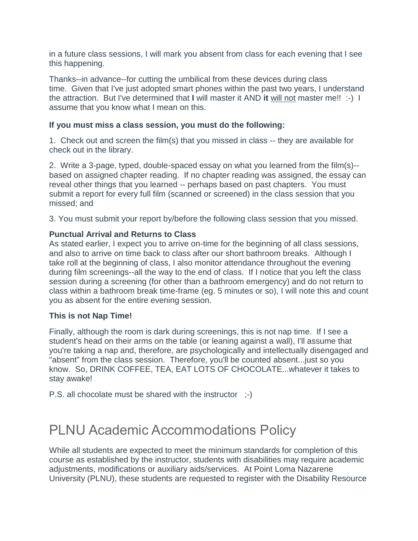in a future class sessions, I will mark you absent from class for each evening that I see this happening.

Thanks--in advance--for cutting the umbilical from these devices during class time. Given that I've just adopted smart phones within the past two years, I understand the attraction. But I've determined that **I** will master it AND **it** will not master me!! :-) I assume that you know what I mean on this.

#### **If you must miss a class session, you must do the following:**

1. Check out and screen the film(s) that you missed in class -- they are available for check out in the library.

2. Write a 3-page, typed, double-spaced essay on what you learned from the film(s)- based on assigned chapter reading. If no chapter reading was assigned, the essay can reveal other things that you learned -- perhaps based on past chapters. You must submit a report for every full film (scanned or screened) in the class session that you missed; and

3. You must submit your report by/before the following class session that you missed.

### **Punctual Arrival and Returns to Class**

As stated earlier, I expect you to arrive on-time for the beginning of all class sessions, and also to arrive on time back to class after our short bathroom breaks. Although I take roll at the beginning of class, I also monitor attendance throughout the evening during film screenings--all the way to the end of class. If I notice that you left the class session during a screening (for other than a bathroom emergency) and do not return to class within a bathroom break time-frame (eg. 5 minutes or so), I will note this and count you as absent for the entire evening session.

#### **This is not Nap Time!**

Finally, although the room is dark during screenings, this is not nap time. If I see a student's head on their arms on the table (or leaning against a wall), I'll assume that you're taking a nap and, therefore, are psychologically and intellectually disengaged and "absent" from the class session. Therefore, you'll be counted absent...just so you know. So, DRINK COFFEE, TEA, EAT LOTS OF CHOCOLATE...whatever it takes to stay awake!

P.S. all chocolate must be shared with the instructor ;-)

## PLNU Academic Accommodations Policy

While all students are expected to meet the minimum standards for completion of this course as established by the instructor, students with disabilities may require academic adjustments, modifications or auxiliary aids/services. At Point Loma Nazarene University (PLNU), these students are requested to register with the Disability Resource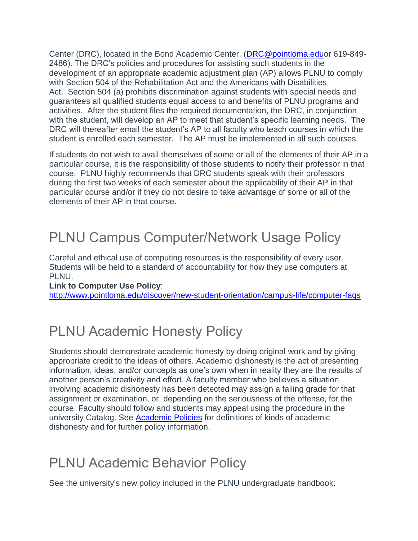Center (DRC), located in the Bond Academic Center. [\(DRC@pointloma.eduo](mailto:DRC@pointloma.edu)r 619-849- 2486). The DRC's policies and procedures for assisting such students in the development of an appropriate academic adjustment plan (AP) allows PLNU to comply with Section 504 of the Rehabilitation Act and the Americans with Disabilities Act. Section 504 (a) prohibits discrimination against students with special needs and guarantees all qualified students equal access to and benefits of PLNU programs and activities. After the student files the required documentation, the DRC, in conjunction with the student, will develop an AP to meet that student's specific learning needs. The DRC will thereafter email the student's AP to all faculty who teach courses in which the student is enrolled each semester. The AP must be implemented in all such courses.

If students do not wish to avail themselves of some or all of the elements of their AP in a particular course, it is the responsibility of those students to notify their professor in that course. PLNU highly recommends that DRC students speak with their professors during the first two weeks of each semester about the applicability of their AP in that particular course and/or if they do not desire to take advantage of some or all of the elements of their AP in that course.

# PLNU Campus Computer/Network Usage Policy

Careful and ethical use of computing resources is the responsibility of every user. Students will be held to a standard of accountability for how they use computers at PLNU.

#### **Link to Computer Use Policy**:

<http://www.pointloma.edu/discover/new-student-orientation/campus-life/computer-faqs>

## PLNU Academic Honesty Policy

Students should demonstrate academic honesty by doing original work and by giving appropriate credit to the ideas of others. Academic dishonesty is the act of presenting information, ideas, and/or concepts as one's own when in reality they are the results of another person's creativity and effort. A faculty member who believes a situation involving academic dishonesty has been detected may assign a failing grade for that assignment or examination, or, depending on the seriousness of the offense, for the course. Faculty should follow and students may appeal using the procedure in the university Catalog. See [Academic Policies](http://catalog.pointloma.edu/content.php?catoid=18&navoid=1278) for definitions of kinds of academic dishonesty and for further policy information.

## PLNU Academic Behavior Policy

See the university's new policy included in the PLNU undergraduate handbook: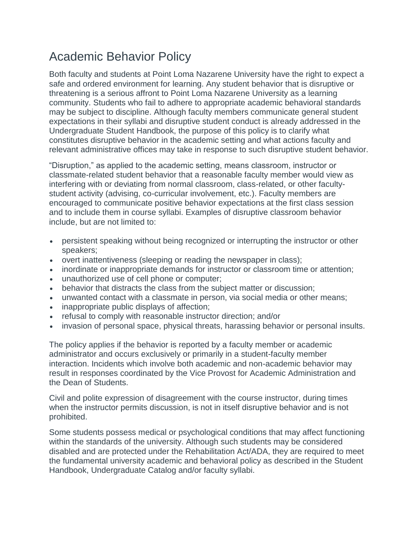## Academic Behavior Policy

Both faculty and students at Point Loma Nazarene University have the right to expect a safe and ordered environment for learning. Any student behavior that is disruptive or threatening is a serious affront to Point Loma Nazarene University as a learning community. Students who fail to adhere to appropriate academic behavioral standards may be subject to discipline. Although faculty members communicate general student expectations in their syllabi and disruptive student conduct is already addressed in the Undergraduate Student Handbook, the purpose of this policy is to clarify what constitutes disruptive behavior in the academic setting and what actions faculty and relevant administrative offices may take in response to such disruptive student behavior.

"Disruption," as applied to the academic setting, means classroom, instructor or classmate-related student behavior that a reasonable faculty member would view as interfering with or deviating from normal classroom, class-related, or other facultystudent activity (advising, co-curricular involvement, etc.). Faculty members are encouraged to communicate positive behavior expectations at the first class session and to include them in course syllabi. Examples of disruptive classroom behavior include, but are not limited to:

- persistent speaking without being recognized or interrupting the instructor or other speakers;
- overt inattentiveness (sleeping or reading the newspaper in class);
- inordinate or inappropriate demands for instructor or classroom time or attention;
- unauthorized use of cell phone or computer;
- behavior that distracts the class from the subject matter or discussion;
- unwanted contact with a classmate in person, via social media or other means;
- inappropriate public displays of affection;
- refusal to comply with reasonable instructor direction; and/or
- invasion of personal space, physical threats, harassing behavior or personal insults.

The policy applies if the behavior is reported by a faculty member or academic administrator and occurs exclusively or primarily in a student-faculty member interaction. Incidents which involve both academic and non-academic behavior may result in responses coordinated by the Vice Provost for Academic Administration and the Dean of Students.

Civil and polite expression of disagreement with the course instructor, during times when the instructor permits discussion, is not in itself disruptive behavior and is not prohibited.

Some students possess medical or psychological conditions that may affect functioning within the standards of the university. Although such students may be considered disabled and are protected under the Rehabilitation Act/ADA, they are required to meet the fundamental university academic and behavioral policy as described in the Student Handbook, Undergraduate Catalog and/or faculty syllabi.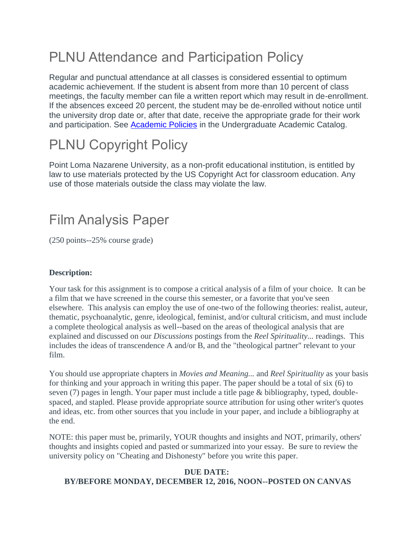# PLNU Attendance and Participation Policy

Regular and punctual attendance at all classes is considered essential to optimum academic achievement. If the student is absent from more than 10 percent of class meetings, the faculty member can file a written report which may result in de-enrollment. If the absences exceed 20 percent, the student may be de-enrolled without notice until the university drop date or, after that date, receive the appropriate grade for their work and participation. See [Academic Policies](http://catalog.pointloma.edu/content.php?catoid=18&navoid=1278) in the Undergraduate Academic Catalog.

# PLNU Copyright Policy

Point Loma Nazarene University, as a non-profit educational institution, is entitled by law to use materials protected by the US Copyright Act for classroom education. Any use of those materials outside the class may violate the law.

# Film Analysis Paper

(250 points--25% course grade)

## **Description:**

Your task for this assignment is to compose a critical analysis of a film of your choice. It can be a film that we have screened in the course this semester, or a favorite that you've seen elsewhere. This analysis can employ the use of one-two of the following theories: realist, auteur, thematic, psychoanalytic, genre, ideological, feminist, and/or cultural criticism, and must include a complete theological analysis as well--based on the areas of theological analysis that are explained and discussed on our *Discussions* postings from the *Reel Spirituality...* readings. This includes the ideas of transcendence A and/or B, and the "theological partner" relevant to your film.

You should use appropriate chapters in *Movies and Meaning...* and *Reel Spirituality* as your basis for thinking and your approach in writing this paper. The paper should be a total of six (6) to seven (7) pages in length. Your paper must include a title page & bibliography, typed, doublespaced, and stapled. Please provide appropriate source attribution for using other writer's quotes and ideas, etc. from other sources that you include in your paper, and include a bibliography at the end.

NOTE: this paper must be, primarily, YOUR thoughts and insights and NOT, primarily, others' thoughts and insights copied and pasted or summarized into your essay. Be sure to review the university policy on "Cheating and Dishonesty" before you write this paper.

#### **DUE DATE: BY/BEFORE MONDAY, DECEMBER 12, 2016, NOON--POSTED ON CANVAS**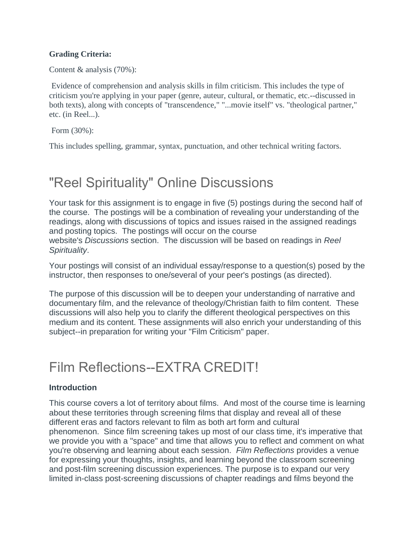#### **Grading Criteria:**

Content & analysis (70%):

Evidence of comprehension and analysis skills in film criticism. This includes the type of criticism you're applying in your paper (genre, auteur, cultural, or thematic, etc.--discussed in both texts), along with concepts of "transcendence," "...movie itself" vs. "theological partner," etc. (in Reel...).

Form (30%):

This includes spelling, grammar, syntax, punctuation, and other technical writing factors.

# "Reel Spirituality" Online Discussions

Your task for this assignment is to engage in five (5) postings during the second half of the course. The postings will be a combination of revealing your understanding of the readings, along with discussions of topics and issues raised in the assigned readings and posting topics. The postings will occur on the course website's *Discussions* section. The discussion will be based on readings in *Reel Spirituality*.

Your postings will consist of an individual essay/response to a question(s) posed by the instructor, then responses to one/several of your peer's postings (as directed).

The purpose of this discussion will be to deepen your understanding of narrative and documentary film, and the relevance of theology/Christian faith to film content. These discussions will also help you to clarify the different theological perspectives on this medium and its content. These assignments will also enrich your understanding of this subject--in preparation for writing your "Film Criticism" paper.

## Film Reflections--EXTRA CREDIT!

## **Introduction**

This course covers a lot of territory about films. And most of the course time is learning about these territories through screening films that display and reveal all of these different eras and factors relevant to film as both art form and cultural phenomenon. Since film screening takes up most of our class time, it's imperative that we provide you with a "space" and time that allows you to reflect and comment on what you're observing and learning about each session. *Film Reflections* provides a venue for expressing your thoughts, insights, and learning beyond the classroom screening and post-film screening discussion experiences. The purpose is to expand our very limited in-class post-screening discussions of chapter readings and films beyond the